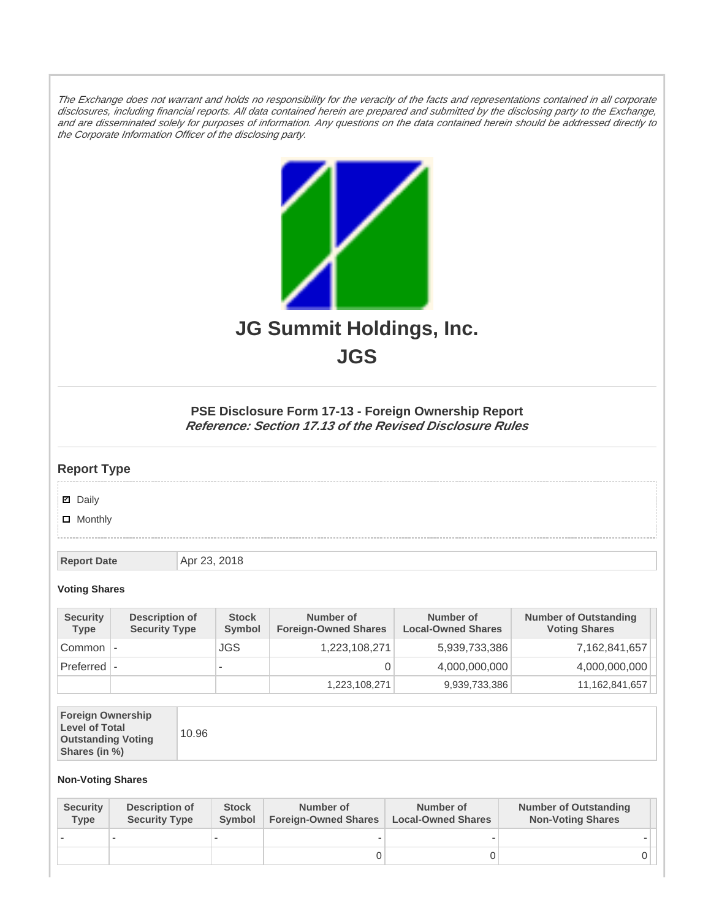The Exchange does not warrant and holds no responsibility for the veracity of the facts and representations contained in all corporate disclosures, including financial reports. All data contained herein are prepared and submitted by the disclosing party to the Exchange, and are disseminated solely for purposes of information. Any questions on the data contained herein should be addressed directly to the Corporate Information Officer of the disclosing party.



**JGS**

## **PSE Disclosure Form 17-13 - Foreign Ownership Report Reference: Section 17.13 of the Revised Disclosure Rules**

## **Report Type**

**Ø** Daily

**D** Monthly

**Report Date Apr 23, 2018** 

## **Voting Shares**

| <b>Security</b><br>Type | Description of<br><b>Security Type</b> | <b>Stock</b><br>Symbol | Number of<br><b>Foreign-Owned Shares</b> | Number of<br><b>Local-Owned Shares</b> | <b>Number of Outstanding</b><br><b>Voting Shares</b> |
|-------------------------|----------------------------------------|------------------------|------------------------------------------|----------------------------------------|------------------------------------------------------|
| Common                  |                                        | JGS                    | 1,223,108,271                            | 5,939,733,386                          | 7,162,841,657                                        |
| $Preferred$ $\vdash$    |                                        | $\sim$                 |                                          | 4,000,000,000                          | 4,000,000,000                                        |
|                         |                                        |                        | 1,223,108,271                            | 9,939,733,386                          | 11,162,841,657                                       |

| <b>Foreign Ownership</b><br><b>Level of Total</b><br><b>Outstanding Voting</b><br>Shares (in %) |
|-------------------------------------------------------------------------------------------------|
|-------------------------------------------------------------------------------------------------|

## **Non-Voting Shares**

| <b>Security</b><br>Type | Description of<br><b>Security Type</b> | <b>Stock</b><br>Symbol | Number of<br><b>Foreign-Owned Shares</b> | Number of<br><b>Local-Owned Shares</b> | <b>Number of Outstanding</b><br><b>Non-Voting Shares</b> |
|-------------------------|----------------------------------------|------------------------|------------------------------------------|----------------------------------------|----------------------------------------------------------|
|                         |                                        |                        |                                          |                                        |                                                          |
|                         |                                        |                        |                                          |                                        |                                                          |